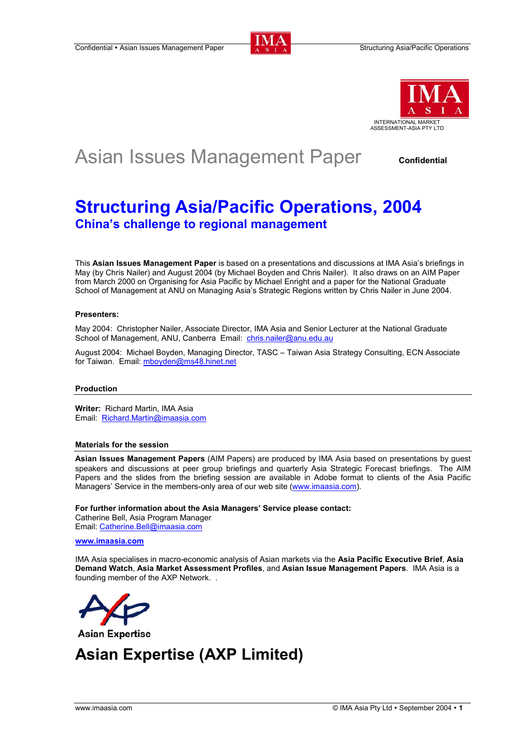



# Asian Issues Management Paper confidential

# **Structuring Asia/Pacific Operations, 2004 China's challenge to regional management**

This **Asian Issues Management Paper** is based on a presentations and discussions at IMA Asia's briefings in May (by Chris Nailer) and August 2004 (by Michael Boyden and Chris Nailer). It also draws on an AIM Paper from March 2000 on Organising for Asia Pacific by Michael Enright and a paper for the National Graduate School of Management at ANU on Managing Asia's Strategic Regions written by Chris Nailer in June 2004.

# **Presenters:**

May 2004: Christopher Nailer, Associate Director, IMA Asia and Senior Lecturer at the National Graduate School of Management, ANU, Canberra Email: chris.nailer@anu.edu.au

August 2004: Michael Boyden, Managing Director, TASC – Taiwan Asia Strategy Consulting, ECN Associate for Taiwan. Email: mboyden@ms48.hinet.net

# **Production**

**Writer:** Richard Martin, IMA Asia Email: Richard.Martin@imaasia.com

# **Materials for the session**

**Asian Issues Management Papers** (AIM Papers) are produced by IMA Asia based on presentations by guest speakers and discussions at peer group briefings and quarterly Asia Strategic Forecast briefings. The AIM Papers and the slides from the briefing session are available in Adobe format to clients of the Asia Pacific Managers' Service in the members-only area of our web site (www.imaasia.com).

**For further information about the Asia Managers' Service please contact:**

Catherine Bell, Asia Program Manager Email: Catherine.Bell@imaasia.com

# **www.imaasia.com**

IMA Asia specialises in macro-economic analysis of Asian markets via the **Asia Pacific Executive Brief**, **Asia Demand Watch**, **Asia Market Assessment Profiles**, and **Asian Issue Management Papers**. IMA Asia is a founding member of the AXP Network. .



**Asian Expertise** 

# **Asian Expertise (AXP Limited)**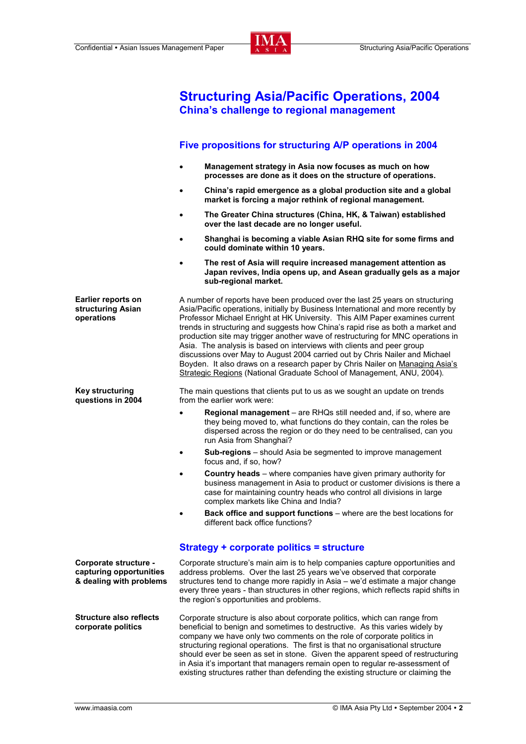

**Structuring Asia/Pacific Operations, 2004** 

|                                                                             | <b>China's challenge to regional management</b>                                                                                                                                                                                                                                                                                                                                                                                                                                                                                                                                                                                                                                                                                         |
|-----------------------------------------------------------------------------|-----------------------------------------------------------------------------------------------------------------------------------------------------------------------------------------------------------------------------------------------------------------------------------------------------------------------------------------------------------------------------------------------------------------------------------------------------------------------------------------------------------------------------------------------------------------------------------------------------------------------------------------------------------------------------------------------------------------------------------------|
|                                                                             | Five propositions for structuring A/P operations in 2004                                                                                                                                                                                                                                                                                                                                                                                                                                                                                                                                                                                                                                                                                |
|                                                                             | Management strategy in Asia now focuses as much on how<br>$\bullet$<br>processes are done as it does on the structure of operations.                                                                                                                                                                                                                                                                                                                                                                                                                                                                                                                                                                                                    |
|                                                                             | China's rapid emergence as a global production site and a global<br>$\bullet$<br>market is forcing a major rethink of regional management.                                                                                                                                                                                                                                                                                                                                                                                                                                                                                                                                                                                              |
|                                                                             | The Greater China structures (China, HK, & Taiwan) established<br>$\bullet$<br>over the last decade are no longer useful.                                                                                                                                                                                                                                                                                                                                                                                                                                                                                                                                                                                                               |
|                                                                             | Shanghai is becoming a viable Asian RHQ site for some firms and<br>$\bullet$<br>could dominate within 10 years.                                                                                                                                                                                                                                                                                                                                                                                                                                                                                                                                                                                                                         |
|                                                                             | The rest of Asia will require increased management attention as<br>Japan revives, India opens up, and Asean gradually gels as a major<br>sub-regional market.                                                                                                                                                                                                                                                                                                                                                                                                                                                                                                                                                                           |
| <b>Earlier reports on</b><br>structuring Asian<br>operations                | A number of reports have been produced over the last 25 years on structuring<br>Asia/Pacific operations, initially by Business International and more recently by<br>Professor Michael Enright at HK University. This AIM Paper examines current<br>trends in structuring and suggests how China's rapid rise as both a market and<br>production site may trigger another wave of restructuring for MNC operations in<br>Asia. The analysis is based on interviews with clients and peer group<br>discussions over May to August 2004 carried out by Chris Nailer and Michael<br>Boyden. It also draws on a research paper by Chris Nailer on Managing Asia's<br>Strategic Regions (National Graduate School of Management, ANU, 2004). |
| <b>Key structuring</b><br>questions in 2004                                 | The main questions that clients put to us as we sought an update on trends<br>from the earlier work were:                                                                                                                                                                                                                                                                                                                                                                                                                                                                                                                                                                                                                               |
|                                                                             | Regional management - are RHQs still needed and, if so, where are<br>$\bullet$<br>they being moved to, what functions do they contain, can the roles be<br>dispersed across the region or do they need to be centralised, can you<br>run Asia from Shanghai?                                                                                                                                                                                                                                                                                                                                                                                                                                                                            |
|                                                                             | Sub-regions - should Asia be segmented to improve management<br>$\bullet$<br>focus and, if so, how?                                                                                                                                                                                                                                                                                                                                                                                                                                                                                                                                                                                                                                     |
|                                                                             | <b>Country heads</b> – where companies have given primary authority for<br>$\bullet$<br>business management in Asia to product or customer divisions is there a<br>case for maintaining country heads who control all divisions in large<br>complex markets like China and India?                                                                                                                                                                                                                                                                                                                                                                                                                                                       |
|                                                                             | Back office and support functions - where are the best locations for<br>$\bullet$<br>different back office functions?                                                                                                                                                                                                                                                                                                                                                                                                                                                                                                                                                                                                                   |
|                                                                             | Strategy + corporate politics = structure                                                                                                                                                                                                                                                                                                                                                                                                                                                                                                                                                                                                                                                                                               |
| Corporate structure -<br>capturing opportunities<br>& dealing with problems | Corporate structure's main aim is to help companies capture opportunities and<br>address problems. Over the last 25 years we've observed that corporate<br>structures tend to change more rapidly in Asia – we'd estimate a major change<br>every three years - than structures in other regions, which reflects rapid shifts in<br>the region's opportunities and problems.                                                                                                                                                                                                                                                                                                                                                            |
| <b>Structure also reflects</b><br>corporate politics                        | Corporate structure is also about corporate politics, which can range from<br>beneficial to benign and sometimes to destructive. As this varies widely by<br>company we have only two comments on the role of corporate politics in<br>structuring regional operations. The first is that no organisational structure<br>should ever be seen as set in stone. Given the apparent speed of restructuring<br>in Asia it's important that managers remain open to regular re-assessment of<br>existing structures rather than defending the existing structure or claiming the                                                                                                                                                             |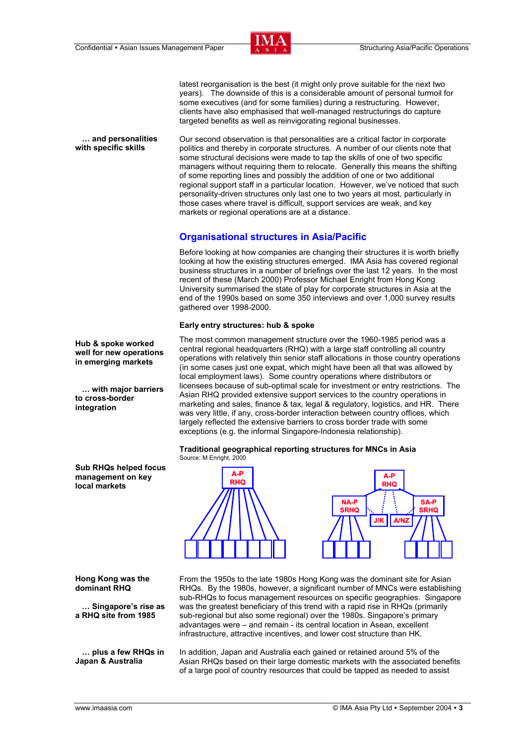

latest reorganisation is the best (it might only prove suitable for the next two years). The downside of this is a considerable amount of personal turmoil for some executives (and for some families) during a restructuring. However, clients have also emphasised that well-managed restructurings do capture targeted benefits as well as reinvigorating regional businesses.

 **… and personalities with specific skills**  Our second observation is that personalities are a critical factor in corporate politics and thereby in corporate structures. A number of our clients note that some structural decisions were made to tap the skills of one of two specific managers without requiring them to relocate. Generally this means the shifting of some reporting lines and possibly the addition of one or two additional regional support staff in a particular location. However, we've noticed that such personality-driven structures only last one to two years at most, particularly in those cases where travel is difficult, support services are weak, and key markets or regional operations are at a distance.

# **Organisational structures in Asia/Pacific**

Before looking at how companies are changing their structures it is worth briefly looking at how the existing structures emerged. IMA Asia has covered regional business structures in a number of briefings over the last 12 years. In the most recent of these (March 2000) Professor Michael Enright from Hong Kong University summarised the state of play for corporate structures in Asia at the end of the 1990s based on some 350 interviews and over 1,000 survey results gathered over 1998-2000.

# **Early entry structures: hub & spoke**

The most common management structure over the 1960-1985 period was a central regional headquarters (RHQ) with a large staff controlling all country operations with relatively thin senior staff allocations in those country operations (in some cases just one expat, which might have been all that was allowed by local employment laws). Some country operations where distributors or licensees because of sub-optimal scale for investment or entry restrictions. The Asian RHQ provided extensive support services to the country operations in marketing and sales, finance & tax, legal & regulatory, logistics, and HR. There was very little, if any, cross-border interaction between country offices, which largely reflected the extensive barriers to cross border trade with some exceptions (e.g. the informal Singapore-Indonesia relationship).





**Hong Kong was the dominant RHQ** 

 **… Singapore's rise as a RHQ site from 1985** 

 **… plus a few RHQs in Japan & Australia** 

From the 1950s to the late 1980s Hong Kong was the dominant site for Asian RHQs. By the 1980s, however, a significant number of MNCs were establishing sub-RHQs to focus management resources on specific geographies. Singapore was the greatest beneficiary of this trend with a rapid rise in RHQs (primarily sub-regional but also some regional) over the 1980s. Singapore's primary advantages were – and remain - its central location in Asean, excellent infrastructure, attractive incentives, and lower cost structure than HK.

In addition, Japan and Australia each gained or retained around 5% of the Asian RHQs based on their large domestic markets with the associated benefits of a large pool of country resources that could be tapped as needed to assist

**Hub & spoke worked well for new operations in emerging markets** 

 **… with major barriers to cross-border integration** 

**Sub RHQs helped focus management on key local markets**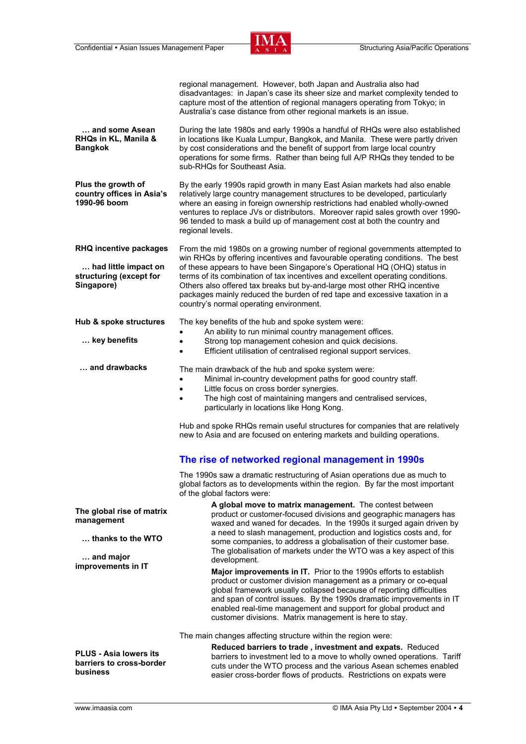

|                                                                                                | regional management. However, both Japan and Australia also had<br>disadvantages: in Japan's case its sheer size and market complexity tended to<br>capture most of the attention of regional managers operating from Tokyo; in<br>Australia's case distance from other regional markets is an issue.                                                                                                                                                                                                                           |
|------------------------------------------------------------------------------------------------|---------------------------------------------------------------------------------------------------------------------------------------------------------------------------------------------------------------------------------------------------------------------------------------------------------------------------------------------------------------------------------------------------------------------------------------------------------------------------------------------------------------------------------|
| and some Asean<br>RHQs in KL, Manila &<br><b>Bangkok</b>                                       | During the late 1980s and early 1990s a handful of RHQs were also established<br>in locations like Kuala Lumpur, Bangkok, and Manila. These were partly driven<br>by cost considerations and the benefit of support from large local country<br>operations for some firms. Rather than being full A/P RHQs they tended to be<br>sub-RHQs for Southeast Asia.                                                                                                                                                                    |
| Plus the growth of<br>country offices in Asia's<br>1990-96 boom                                | By the early 1990s rapid growth in many East Asian markets had also enable<br>relatively large country management structures to be developed, particularly<br>where an easing in foreign ownership restrictions had enabled wholly-owned<br>ventures to replace JVs or distributors. Moreover rapid sales growth over 1990-<br>96 tended to mask a build up of management cost at both the country and<br>regional levels.                                                                                                      |
| <b>RHQ incentive packages</b><br>had little impact on<br>structuring (except for<br>Singapore) | From the mid 1980s on a growing number of regional governments attempted to<br>win RHQs by offering incentives and favourable operating conditions. The best<br>of these appears to have been Singapore's Operational HQ (OHQ) status in<br>terms of its combination of tax incentives and excellent operating conditions.<br>Others also offered tax breaks but by-and-large most other RHQ incentive<br>packages mainly reduced the burden of red tape and excessive taxation in a<br>country's normal operating environment. |
| Hub & spoke structures<br>key benefits                                                         | The key benefits of the hub and spoke system were:<br>An ability to run minimal country management offices.<br>Strong top management cohesion and quick decisions.<br>Efficient utilisation of centralised regional support services.<br>$\bullet$                                                                                                                                                                                                                                                                              |
| and drawbacks                                                                                  | The main drawback of the hub and spoke system were:<br>Minimal in-country development paths for good country staff.<br>$\bullet$<br>Little focus on cross border synergies.<br>$\bullet$<br>The high cost of maintaining mangers and centralised services,<br>$\bullet$<br>particularly in locations like Hong Kong.<br>Hub and spoke RHQs remain useful structures for companies that are relatively<br>new to Asia and are focused on entering markets and building operations.                                               |
|                                                                                                | The rise of networked regional management in 1990s                                                                                                                                                                                                                                                                                                                                                                                                                                                                              |
|                                                                                                | The 1990s saw a dramatic restructuring of Asian operations due as much to<br>global factors as to developments within the region. By far the most important<br>of the global factors were:                                                                                                                                                                                                                                                                                                                                      |
| The global rise of matrix<br>management<br>thanks to the WTO                                   | A global move to matrix management. The contest between<br>product or customer-focused divisions and geographic managers has<br>waxed and waned for decades. In the 1990s it surged again driven by<br>a need to slash management, production and logistics costs and, for<br>some companies, to address a globalisation of their customer base.<br>The globalisation of markets under the WTO was a key aspect of this                                                                                                         |
| and major<br>improvements in IT                                                                | development.<br>Major improvements in IT. Prior to the 1990s efforts to establish<br>product or customer division management as a primary or co-equal<br>global framework usually collapsed because of reporting difficulties<br>and span of control issues. By the 1990s dramatic improvements in IT<br>enabled real-time management and support for global product and<br>customer divisions. Matrix management is here to stay.                                                                                              |
| <b>PLUS - Asia lowers its</b><br>barriers to cross-border<br>business                          | The main changes affecting structure within the region were:<br>Reduced barriers to trade, investment and expats. Reduced<br>barriers to investment led to a move to wholly owned operations. Tariff<br>cuts under the WTO process and the various Asean schemes enabled<br>easier cross-border flows of products. Restrictions on expats were                                                                                                                                                                                  |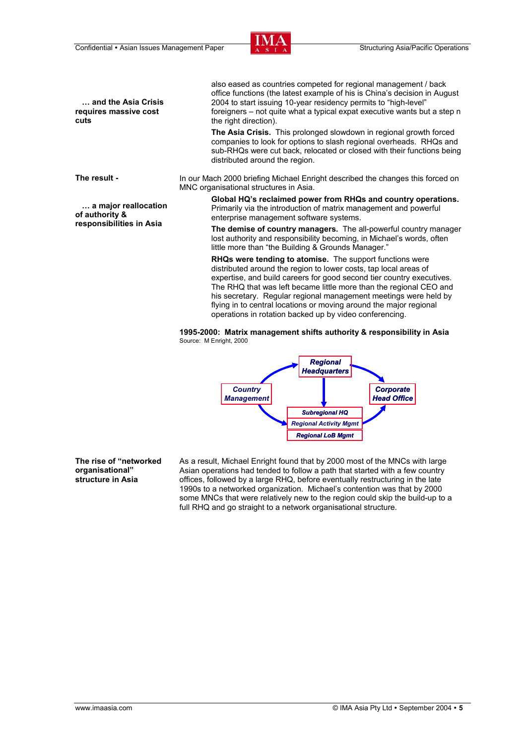

 **… and the Asia Crisis requires massive cost cuts** 

**The result -** 

 **… a major reallocation of authority & responsibilities in Asia** 

also eased as countries competed for regional management / back office functions (the latest example of his is China's decision in August 2004 to start issuing 10-year residency permits to "high-level" foreigners – not quite what a typical expat executive wants but a step n the right direction).

**The Asia Crisis.** This prolonged slowdown in regional growth forced companies to look for options to slash regional overheads. RHQs and sub-RHQs were cut back, relocated or closed with their functions being distributed around the region.

In our Mach 2000 briefing Michael Enright described the changes this forced on MNC organisational structures in Asia.

> **Global HQ's reclaimed power from RHQs and country operations.** Primarily via the introduction of matrix management and powerful enterprise management software systems.

**The demise of country managers.** The all-powerful country manager lost authority and responsibility becoming, in Michael's words, often little more than "the Building & Grounds Manager."

**RHQs were tending to atomise.** The support functions were distributed around the region to lower costs, tap local areas of expertise, and build careers for good second tier country executives. The RHQ that was left became little more than the regional CEO and his secretary. Regular regional management meetings were held by flying in to central locations or moving around the major regional operations in rotation backed up by video conferencing.

 **1995-2000: Matrix management shifts authority & responsibility in Asia**  Source: M Enright, 2000



**The rise of "networked organisational" structure in Asia** 

As a result, Michael Enright found that by 2000 most of the MNCs with large Asian operations had tended to follow a path that started with a few country offices, followed by a large RHQ, before eventually restructuring in the late 1990s to a networked organization. Michael's contention was that by 2000 some MNCs that were relatively new to the region could skip the build-up to a full RHQ and go straight to a network organisational structure.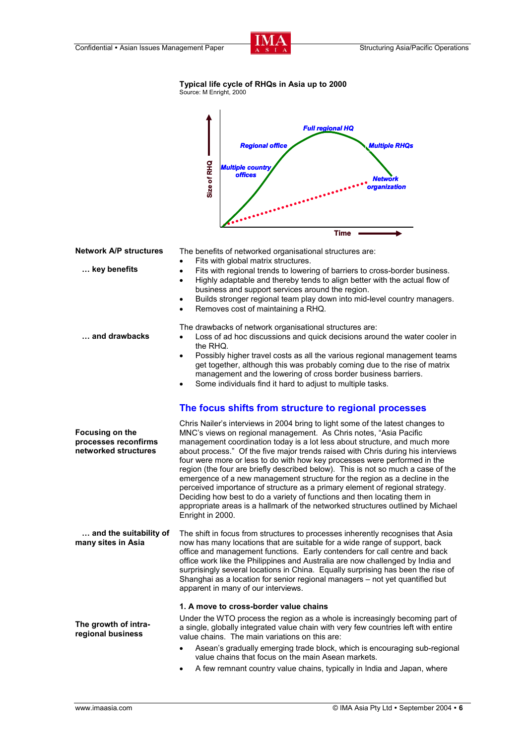

# **Typical life cycle of RHQs in Asia up to 2000**

Source: M Enright, 2000

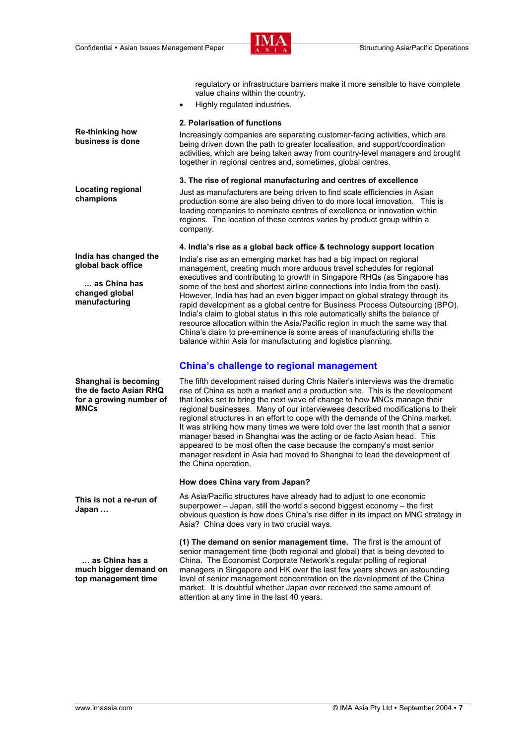

regulatory or infrastructure barriers make it more sensible to have complete value chains within the country. • Highly regulated industries. **Re-thinking how business is done 2. Polarisation of functions**  Increasingly companies are separating customer-facing activities, which are being driven down the path to greater localisation, and support/coordination activities, which are being taken away from country-level managers and brought together in regional centres and, sometimes, global centres. **Locating regional champions 3. The rise of regional manufacturing and centres of excellence** Just as manufacturers are being driven to find scale efficiencies in Asian production some are also being driven to do more local innovation. This is leading companies to nominate centres of excellence or innovation within regions. The location of these centres varies by product group within a company. **India has changed the global back office … as China has changed global manufacturing 4. India's rise as a global back office & technology support location**  India's rise as an emerging market has had a big impact on regional management, creating much more arduous travel schedules for regional executives and contributing to growth in Singapore RHQs (as Singapore has some of the best and shortest airline connections into India from the east). However, India has had an even bigger impact on global strategy through its rapid development as a global centre for Business Process Outsourcing (BPO). India's claim to global status in this role automatically shifts the balance of resource allocation within the Asia/Pacific region in much the same way that China's claim to pre-eminence is some areas of manufacturing shifts the balance within Asia for manufacturing and logistics planning. **China's challenge to regional management Shanghai is becoming the de facto Asian RHQ for a growing number of MNCs**  The fifth development raised during Chris Nailer's interviews was the dramatic rise of China as both a market and a production site. This is the development that looks set to bring the next wave of change to how MNCs manage their regional businesses. Many of our interviewees described modifications to their regional structures in an effort to cope with the demands of the China market. It was striking how many times we were told over the last month that a senior manager based in Shanghai was the acting or de facto Asian head. This appeared to be most often the case because the company's most senior manager resident in Asia had moved to Shanghai to lead the development of the China operation. **This is not a re-run of Japan … How does China vary from Japan?** As Asia/Pacific structures have already had to adjust to one economic superpower – Japan, still the world's second biggest economy – the first obvious question is how does China's rise differ in its impact on MNC strategy in Asia? China does vary in two crucial ways.  **… as China has a much bigger demand on top management time (1) The demand on senior management time.** The first is the amount of senior management time (both regional and global) that is being devoted to China. The Economist Corporate Network's regular polling of regional managers in Singapore and HK over the last few years shows an astounding level of senior management concentration on the development of the China

market. It is doubtful whether Japan ever received the same amount of

attention at any time in the last 40 years.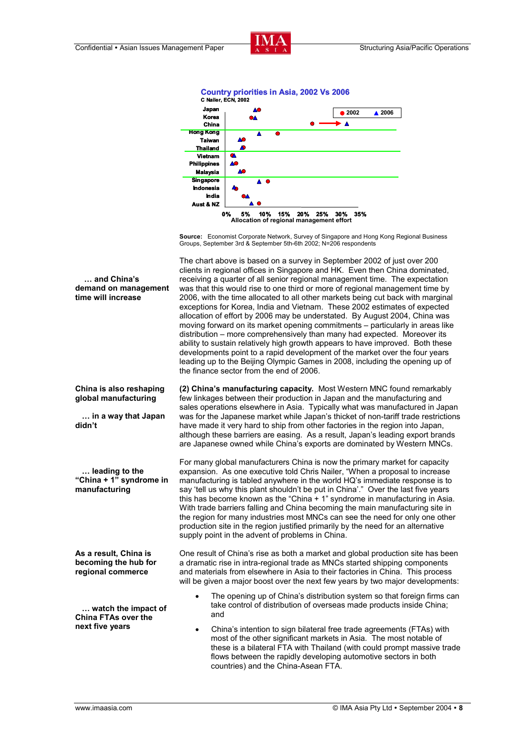



**Source:** Economist Corporate Network, Survey of Singapore and Hong Kong Regional Business Groups, September 3rd & September 5th-6th 2002; N=206 respondents

The chart above is based on a survey in September 2002 of just over 200 clients in regional offices in Singapore and HK. Even then China dominated, receiving a quarter of all senior regional management time. The expectation was that this would rise to one third or more of regional management time by 2006, with the time allocated to all other markets being cut back with marginal exceptions for Korea, India and Vietnam. These 2002 estimates of expected allocation of effort by 2006 may be understated. By August 2004, China was moving forward on its market opening commitments – particularly in areas like distribution – more comprehensively than many had expected. Moreover its ability to sustain relatively high growth appears to have improved. Both these developments point to a rapid development of the market over the four years leading up to the Beijing Olympic Games in 2008, including the opening up of the finance sector from the end of 2006.

**(2) China's manufacturing capacity.** Most Western MNC found remarkably few linkages between their production in Japan and the manufacturing and sales operations elsewhere in Asia. Typically what was manufactured in Japan was for the Japanese market while Japan's thicket of non-tariff trade restrictions have made it very hard to ship from other factories in the region into Japan, although these barriers are easing. As a result, Japan's leading export brands are Japanese owned while China's exports are dominated by Western MNCs.

For many global manufacturers China is now the primary market for capacity expansion. As one executive told Chris Nailer, "When a proposal to increase manufacturing is tabled anywhere in the world HQ's immediate response is to say 'tell us why this plant shouldn't be put in China'." Over the last five years this has become known as the "China + 1" syndrome in manufacturing in Asia. With trade barriers falling and China becoming the main manufacturing site in the region for many industries most MNCs can see the need for only one other production site in the region justified primarily by the need for an alternative supply point in the advent of problems in China.

One result of China's rise as both a market and global production site has been a dramatic rise in intra-regional trade as MNCs started shipping components and materials from elsewhere in Asia to their factories in China. This process will be given a major boost over the next few years by two major developments:

- The opening up of China's distribution system so that foreign firms can take control of distribution of overseas made products inside China; and
- China's intention to sign bilateral free trade agreements (FTAs) with most of the other significant markets in Asia. The most notable of these is a bilateral FTA with Thailand (with could prompt massive trade flows between the rapidly developing automotive sectors in both countries) and the China-Asean FTA.

 **… and China's demand on management time will increase** 

```
China is also reshaping 
global manufacturing
```
 **… in a way that Japan didn't** 

 **… leading to the "China + 1" syndrome in manufacturing** 

**As a result, China is becoming the hub for regional commerce** 

 **… watch the impact of China FTAs over the next five years**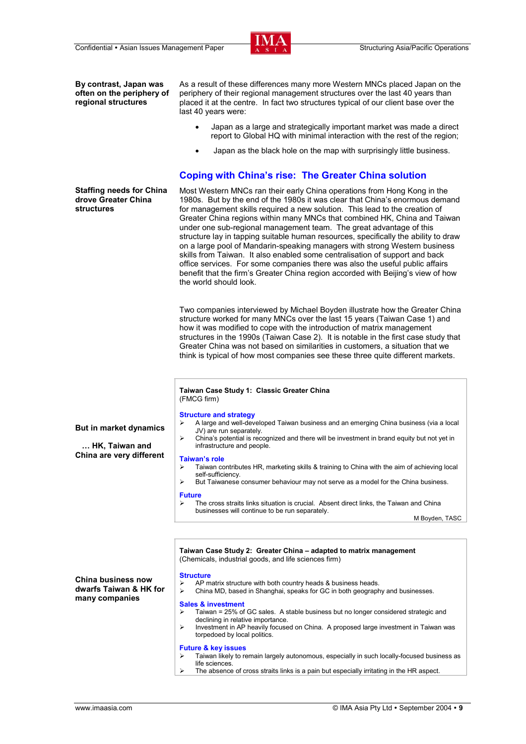

**By contrast, Japan was often on the periphery of regional structures** 

As a result of these differences many more Western MNCs placed Japan on the periphery of their regional management structures over the last 40 years than placed it at the centre. In fact two structures typical of our client base over the last 40 years were:

- Japan as a large and strategically important market was made a direct report to Global HQ with minimal interaction with the rest of the region;
- Japan as the black hole on the map with surprisingly little business.

# **Coping with China's rise: The Greater China solution**

**Staffing needs for China drove Greater China structures** 

Most Western MNCs ran their early China operations from Hong Kong in the 1980s. But by the end of the 1980s it was clear that China's enormous demand for management skills required a new solution. This lead to the creation of Greater China regions within many MNCs that combined HK, China and Taiwan under one sub-regional management team. The great advantage of this structure lay in tapping suitable human resources, specifically the ability to draw on a large pool of Mandarin-speaking managers with strong Western business skills from Taiwan. It also enabled some centralisation of support and back office services. For some companies there was also the useful public affairs benefit that the firm's Greater China region accorded with Beijing's view of how the world should look.

Two companies interviewed by Michael Boyden illustrate how the Greater China structure worked for many MNCs over the last 15 years (Taiwan Case 1) and how it was modified to cope with the introduction of matrix management structures in the 1990s (Taiwan Case 2). It is notable in the first case study that Greater China was not based on similarities in customers, a situation that we think is typical of how most companies see these three quite different markets.

## **Taiwan Case Study 1: Classic Greater China**  (FMCG firm)

# **Structure and strategy**

**But in market dynamics** 

 **… HK, Taiwan and China are very different** 

**China business now dwarfs Taiwan & HK for many companies** 

- ¾ A large and well-developed Taiwan business and an emerging China business (via a local JV) are run separately.
- ¾ China's potential is recognized and there will be investment in brand equity but not yet in infrastructure and people.

#### **Taiwan's role**

- Taiwan contributes HR, marketing skills & training to China with the aim of achieving local self-sufficiency.
- $\triangleright$  But Taiwanese consumer behaviour may not serve as a model for the China business.

#### **Future**

¾ The cross straits links situation is crucial. Absent direct links, the Taiwan and China businesses will continue to be run separately.

M Boyden, TASC

**Taiwan Case Study 2: Greater China – adapted to matrix management** (Chemicals, industrial goods, and life sciences firm)

#### **Structure**

- AP matrix structure with both country heads & business heads.
- China MD, based in Shanghai, speaks for GC in both geography and businesses.

#### **Sales & investment**

- ¾ Taiwan = 25% of GC sales. A stable business but no longer considered strategic and declining in relative importance.
- ¾ Investment in AP heavily focused on China. A proposed large investment in Taiwan was torpedoed by local politics.

### **Future & key issues**

- ¾ Taiwan likely to remain largely autonomous, especially in such locally-focused business as life sciences.
- The absence of cross straits links is a pain but especially irritating in the HR aspect.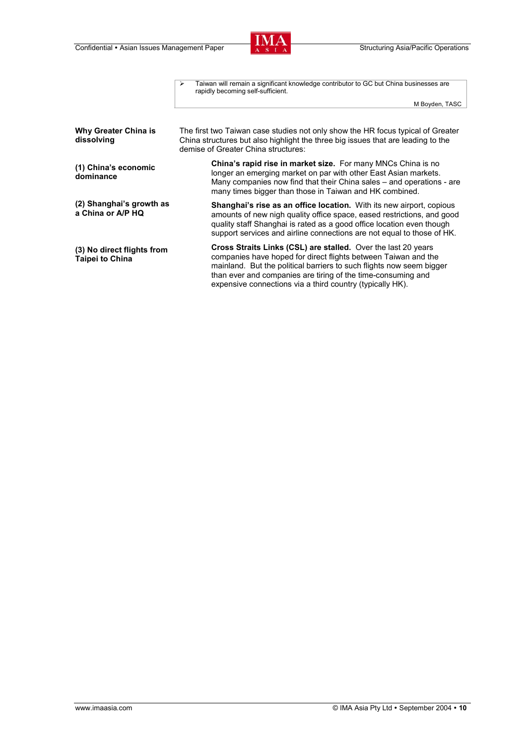

|                                                      | Taiwan will remain a significant knowledge contributor to GC but China businesses are<br>⋗<br>rapidly becoming self-sufficient.                                                                                                                                                                                                      |
|------------------------------------------------------|--------------------------------------------------------------------------------------------------------------------------------------------------------------------------------------------------------------------------------------------------------------------------------------------------------------------------------------|
|                                                      | M Boyden, TASC                                                                                                                                                                                                                                                                                                                       |
|                                                      |                                                                                                                                                                                                                                                                                                                                      |
| <b>Why Greater China is</b><br>dissolving            | The first two Taiwan case studies not only show the HR focus typical of Greater<br>China structures but also highlight the three big issues that are leading to the<br>demise of Greater China structures:                                                                                                                           |
| (1) China's economic<br>dominance                    | <b>China's rapid rise in market size.</b> For many MNCs China is no<br>longer an emerging market on par with other East Asian markets.<br>Many companies now find that their China sales – and operations - are<br>many times bigger than those in Taiwan and HK combined.                                                           |
| (2) Shanghai's growth as<br>a China or A/P HQ        | <b>Shanghai's rise as an office location.</b> With its new airport, copious<br>amounts of new nigh quality office space, eased restrictions, and good<br>quality staff Shanghai is rated as a good office location even though<br>support services and airline connections are not equal to those of HK.                             |
| (3) No direct flights from<br><b>Taipei to China</b> | Cross Straits Links (CSL) are stalled. Over the last 20 years<br>companies have hoped for direct flights between Taiwan and the<br>mainland. But the political barriers to such flights now seem bigger<br>than ever and companies are tiring of the time-consuming and<br>expensive connections via a third country (typically HK). |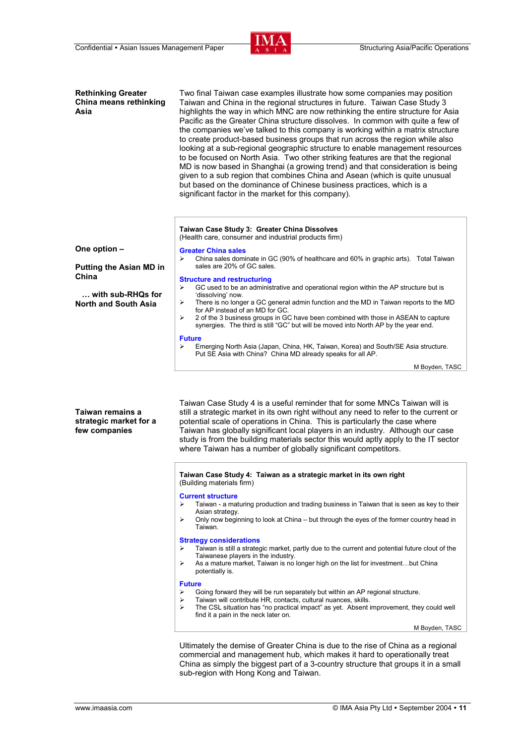

| <b>Rethinking Greater</b><br>China means rethinking<br>Asia | Two final Taiwan case examples illustrate how some companies may position<br>Taiwan and China in the regional structures in future. Taiwan Case Study 3<br>highlights the way in which MNC are now rethinking the entire structure for Asia<br>Pacific as the Greater China structure dissolves. In common with quite a few of<br>the companies we've talked to this company is working within a matrix structure<br>to create product-based business groups that run across the region while also<br>looking at a sub-regional geographic structure to enable management resources<br>to be focused on North Asia. Two other striking features are that the regional<br>MD is now based in Shanghai (a growing trend) and that consideration is being<br>given to a sub region that combines China and Asean (which is quite unusual<br>but based on the dominance of Chinese business practices, which is a<br>significant factor in the market for this company). |
|-------------------------------------------------------------|----------------------------------------------------------------------------------------------------------------------------------------------------------------------------------------------------------------------------------------------------------------------------------------------------------------------------------------------------------------------------------------------------------------------------------------------------------------------------------------------------------------------------------------------------------------------------------------------------------------------------------------------------------------------------------------------------------------------------------------------------------------------------------------------------------------------------------------------------------------------------------------------------------------------------------------------------------------------|
|                                                             | Taiwan Case Study 3: Greater China Dissolves<br>(Health care, consumer and industrial products firm)                                                                                                                                                                                                                                                                                                                                                                                                                                                                                                                                                                                                                                                                                                                                                                                                                                                                 |
| One option -                                                | <b>Greater China sales</b>                                                                                                                                                                                                                                                                                                                                                                                                                                                                                                                                                                                                                                                                                                                                                                                                                                                                                                                                           |
| <b>Putting the Asian MD in</b><br>China                     | China sales dominate in GC (90% of healthcare and 60% in graphic arts). Total Taiwan<br>⋗<br>sales are 20% of GC sales.                                                                                                                                                                                                                                                                                                                                                                                                                                                                                                                                                                                                                                                                                                                                                                                                                                              |
|                                                             | <b>Structure and restructuring</b><br>GC used to be an administrative and operational region within the AP structure but is<br>⋗                                                                                                                                                                                                                                                                                                                                                                                                                                                                                                                                                                                                                                                                                                                                                                                                                                     |
| $\ldots$ with sub-RHQs for<br><b>North and South Asia</b>   | 'dissolving' now.<br>There is no longer a GC general admin function and the MD in Taiwan reports to the MD<br>➤                                                                                                                                                                                                                                                                                                                                                                                                                                                                                                                                                                                                                                                                                                                                                                                                                                                      |
|                                                             | for AP instead of an MD for GC.                                                                                                                                                                                                                                                                                                                                                                                                                                                                                                                                                                                                                                                                                                                                                                                                                                                                                                                                      |
|                                                             | ⋗<br>2 of the 3 business groups in GC have been combined with those in ASEAN to capture<br>synergies. The third is still "GC" but will be moved into North AP by the year end.                                                                                                                                                                                                                                                                                                                                                                                                                                                                                                                                                                                                                                                                                                                                                                                       |
|                                                             | <b>Future</b>                                                                                                                                                                                                                                                                                                                                                                                                                                                                                                                                                                                                                                                                                                                                                                                                                                                                                                                                                        |
|                                                             | Emerging North Asia (Japan, China, HK, Taiwan, Korea) and South/SE Asia structure.<br>⋗<br>Put SE Asia with China? China MD already speaks for all AP.                                                                                                                                                                                                                                                                                                                                                                                                                                                                                                                                                                                                                                                                                                                                                                                                               |
|                                                             | M Boyden, TASC                                                                                                                                                                                                                                                                                                                                                                                                                                                                                                                                                                                                                                                                                                                                                                                                                                                                                                                                                       |
| Taiwan remains a<br>strategic market for a<br>few companies | Taiwan Case Study 4 is a useful reminder that for some MNCs Taiwan will is<br>still a strategic market in its own right without any need to refer to the current or<br>potential scale of operations in China. This is particularly the case where<br>Taiwan has globally significant local players in an industry. Although our case<br>study is from the building materials sector this would aptly apply to the IT sector<br>where Taiwan has a number of globally significant competitors.                                                                                                                                                                                                                                                                                                                                                                                                                                                                       |
|                                                             | Taiwan Case Study 4: Taiwan as a strategic market in its own right<br>(Building materials firm)                                                                                                                                                                                                                                                                                                                                                                                                                                                                                                                                                                                                                                                                                                                                                                                                                                                                      |
|                                                             | <b>Current structure</b>                                                                                                                                                                                                                                                                                                                                                                                                                                                                                                                                                                                                                                                                                                                                                                                                                                                                                                                                             |
|                                                             | ⋗<br>Taiwan - a maturing production and trading business in Taiwan that is seen as key to their<br>Asian strategy.                                                                                                                                                                                                                                                                                                                                                                                                                                                                                                                                                                                                                                                                                                                                                                                                                                                   |
|                                                             | Only now beginning to look at China – but through the eyes of the former country head in<br>⋗<br>Taiwan.                                                                                                                                                                                                                                                                                                                                                                                                                                                                                                                                                                                                                                                                                                                                                                                                                                                             |
|                                                             | <b>Strategy considerations</b><br>Taiwan is still a strategic market, partly due to the current and potential future clout of the<br>➤                                                                                                                                                                                                                                                                                                                                                                                                                                                                                                                                                                                                                                                                                                                                                                                                                               |
|                                                             | Taiwanese players in the industry.                                                                                                                                                                                                                                                                                                                                                                                                                                                                                                                                                                                                                                                                                                                                                                                                                                                                                                                                   |
|                                                             | As a mature market, Taiwan is no longer high on the list for investmentbut China<br>⋗<br>potentially is.                                                                                                                                                                                                                                                                                                                                                                                                                                                                                                                                                                                                                                                                                                                                                                                                                                                             |
|                                                             | <b>Future</b><br>Going forward they will be run separately but within an AP regional structure.<br>⋗                                                                                                                                                                                                                                                                                                                                                                                                                                                                                                                                                                                                                                                                                                                                                                                                                                                                 |
|                                                             | Taiwan will contribute HR, contacts, cultural nuances, skills.<br>⋗                                                                                                                                                                                                                                                                                                                                                                                                                                                                                                                                                                                                                                                                                                                                                                                                                                                                                                  |
|                                                             | The CSL situation has "no practical impact" as yet. Absent improvement, they could well<br>⋗<br>find it a pain in the neck later on.                                                                                                                                                                                                                                                                                                                                                                                                                                                                                                                                                                                                                                                                                                                                                                                                                                 |
|                                                             | M Boyden, TASC                                                                                                                                                                                                                                                                                                                                                                                                                                                                                                                                                                                                                                                                                                                                                                                                                                                                                                                                                       |
|                                                             |                                                                                                                                                                                                                                                                                                                                                                                                                                                                                                                                                                                                                                                                                                                                                                                                                                                                                                                                                                      |

Ultimately the demise of Greater China is due to the rise of China as a regional commercial and management hub, which makes it hard to operationally treat China as simply the biggest part of a 3-country structure that groups it in a small sub-region with Hong Kong and Taiwan.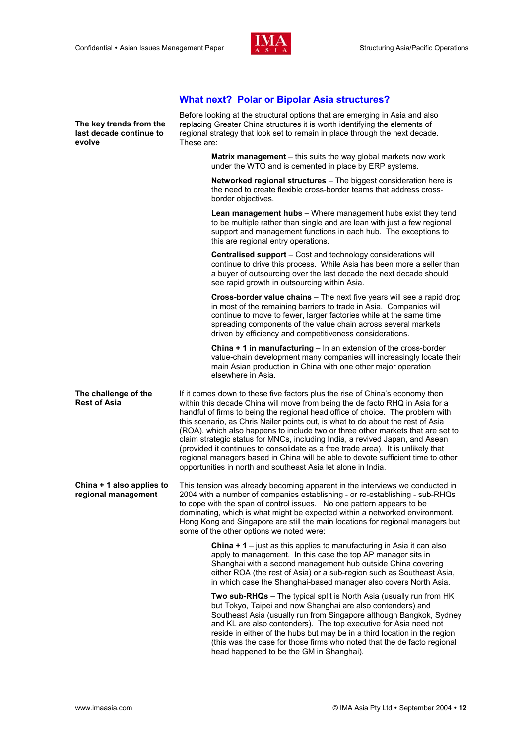These are:

**The key trends from the last decade continue to** 

**evolve** 



**Networked regional structures** – The biggest consideration here is the need to create flexible cross-border teams that address crossborder objectives. **Lean management hubs** – Where management hubs exist they tend to be multiple rather than single and are lean with just a few regional support and management functions in each hub. The exceptions to this are regional entry operations. **Centralised support** – Cost and technology considerations will continue to drive this process. While Asia has been more a seller than a buyer of outsourcing over the last decade the next decade should see rapid growth in outsourcing within Asia. **Cross-border value chains** – The next five years will see a rapid drop in most of the remaining barriers to trade in Asia. Companies will continue to move to fewer, larger factories while at the same time spreading components of the value chain across several markets driven by efficiency and competitiveness considerations. **China + 1 in manufacturing** – In an extension of the cross-border value-chain development many companies will increasingly locate their main Asian production in China with one other major operation elsewhere in Asia. **The challenge of the Rest of Asia**  If it comes down to these five factors plus the rise of China's economy then within this decade China will move from being the de facto RHQ in Asia for a handful of firms to being the regional head office of choice. The problem with this scenario, as Chris Nailer points out, is what to do about the rest of Asia (ROA), which also happens to include two or three other markets that are set to claim strategic status for MNCs, including India, a revived Japan, and Asean (provided it continues to consolidate as a free trade area). It is unlikely that regional managers based in China will be able to devote sufficient time to other opportunities in north and southeast Asia let alone in India. **China + 1 also applies to regional management**  This tension was already becoming apparent in the interviews we conducted in 2004 with a number of companies establishing - or re-establishing - sub-RHQs to cope with the span of control issues. No one pattern appears to be dominating, which is what might be expected within a networked environment. Hong Kong and Singapore are still the main locations for regional managers but some of the other options we noted were: **China + 1** – just as this applies to manufacturing in Asia it can also apply to management. In this case the top AP manager sits in Shanghai with a second management hub outside China covering either ROA (the rest of Asia) or a sub-region such as Southeast Asia, in which case the Shanghai-based manager also covers North Asia. **Two sub-RHQs** – The typical split is North Asia (usually run from HK but Tokyo, Taipei and now Shanghai are also contenders) and Southeast Asia (usually run from Singapore although Bangkok, Sydney and KL are also contenders). The top executive for Asia need not reside in either of the hubs but may be in a third location in the region (this was the case for those firms who noted that the de facto regional head happened to be the GM in Shanghai).

# **What next? Polar or Bipolar Asia structures?**

Before looking at the structural options that are emerging in Asia and also replacing Greater China structures it is worth identifying the elements of regional strategy that look set to remain in place through the next decade.

> **Matrix management** – this suits the way global markets now work under the WTO and is cemented in place by ERP systems.